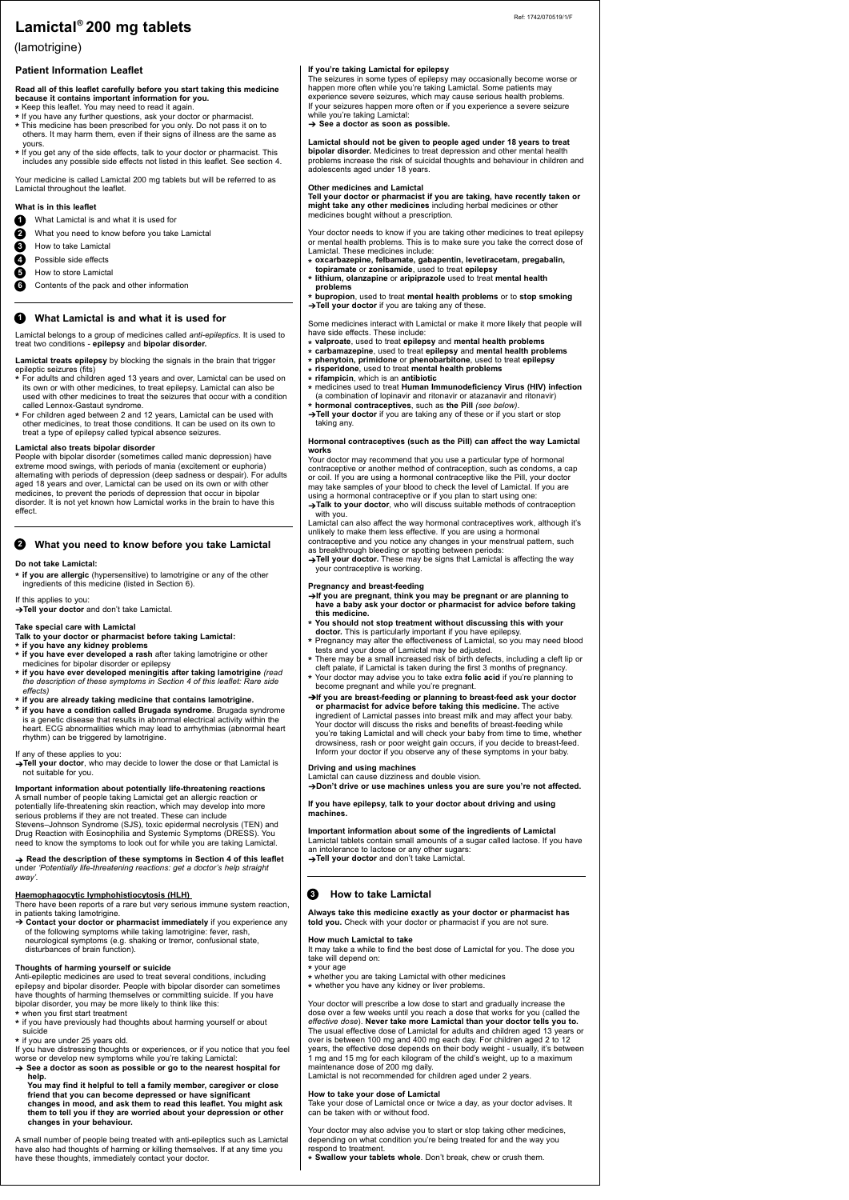# **Patient Information Leaflet**

#### **Read all of this leaflet carefully before you start taking this medicine because it contains important information for you.**

- **\*** Keep this leaflet. You may need to read it again.
- **\*** If you have any further questions, ask your doctor or pharmacist. **\*** This medicine has been prescribed for you only. Do not pass it on to others. It may harm them, even if their signs of illness are the same as
- yours. **\*** If you get any of the side effects, talk to your doctor or pharmacist. This includes any possible side effects not listed in this leaflet. See section 4.

Your medicine is called Lamictal 200 mg tablets but will be referred to as Lamictal throughout the leaflet.

#### **What is in this leaflet**

Lamictal belongs to a group of medicines called *anti-epileptics*. It is used to treat two conditions - **epilepsy** and **bipolar disorder.**

**Lamictal treats epilepsy** by blocking the signals in the brain that trigger epileptic seizures (fits)

- **\*** For adults and children aged 13 years and over, Lamictal can be used on its own or with other medicines, to treat epilepsy. Lamictal can also be used with other medicines to treat the seizures that occur with a condition called Lennox-Gastaut syndrome.
- **\*** For children aged between 2 and 12 years, Lamictal can be used with other medicines, to treat those conditions. It can be used on its own to treat a type of epilepsy called typical absence seizures.

## **Lamictal also treats bipolar disorder**

People with bipolar disorder (sometimes called manic depression) have extreme mood swings, with periods of mania (excitement or euphoria) alternating with periods of depression (deep sadness or despair). For adults aged 18 years and over, Lamictal can be used on its own or with other medicines, to prevent the periods of depression that occur in bipolar disorder. It is not yet known how Lamictal works in the brain to have this effect.

ous immune system reaction in patients taking lamotrigine.

## **Do not take Lamictal:**

**\* if you are allergic** (hypersensitive) to lamotrigine or any of the other ingredients of this medicine (listed in Section 6).

## If this applies to you:

➔**Tell your doctor** and don't take Lamictal.

## **Take special care with Lamictal**

**Talk to your doctor or pharmacist before taking Lamictal:**

- **\* if you have any kidney problems**
- **\* if you have ever developed a rash** after taking lamotrigine or other medicines for bipolar disorder or epilepsy
- **\* if you have ever developed meningitis after taking lamotrigine** *(read the description of these symptoms in Section 4 of this leaflet: Rare side effects)*
- **\* if you are already taking medicine that contains lamotrigine.**
- **\* if you have a condition called Brugada syndrome**. Brugada syndrome is a genetic disease that results in abnormal electrical activity within the heart. ECG abnormalities which may lead to arrhythmias (abnormal heart rhythm) can be triggered by lamotrigine.

## If any of these applies to you:

➔**Tell your doctor**, who may decide to lower the dose or that Lamictal is not suitable for you.

# **Important information about potentially life-threatening reactions**

A small number of people taking Lamictal get an allergic reaction or potentially life-threatening skin reaction, which may develop into more serious problems if they are not treated. These can include Stevens–Johnson Syndrome (SJS), toxic epidermal necrolysis (TEN) and Drug Reaction with Eosinophilia and Systemic Symptoms (DRESS). You need to know the symptoms to look out for while you are taking Lamictal.

➔ **Read the description of these symptoms in Section 4 of this leaflet** under *'Potentially life-threatening reactions: get a doctor's help straight away'.*

# **Haemophagocytic lymphohistiocytosis (HLH)**

➔ **Contact your doctor or pharmacist immediately** if you experience any of the following symptoms while taking lamotrigine: fever, rash, neurological symptoms (e.g. shaking or tremor, confusional state, disturbances of brain function).

#### **Thoughts of harming yourself or suicide**

Anti-epileptic medicines are used to treat several conditions, including epilepsy and bipolar disorder. People with bipolar disorder can sometimes have thoughts of harming themselves or committing suicide. If you have bipolar disorder, you may be more likely to think like this:

- **\*** when you first start treatment
- **\*** if you have previously had thoughts about harming yourself or about suicide
- **\*** if you are under 25 years old.

If you have distressing thoughts or experiences, or if you notice that you feel worse or develop new symptoms while you're taking Lamictal:

➔ **See a doctor as soon as possible or go to the nearest hospital for help.**

**You may find it helpful to tell a family member, caregiver or close friend that you can become depressed or have significant changes in mood, and ask them to read this leaflet. You might ask them to tell you if they are worried about your depression or other changes in your behaviour.**

A small number of people being treated with anti-epileptics such as Lamictal have also had thoughts of harming or killing themselves. If at any time you have these thoughts, immediately contact your doctor.

#### **If you're taking Lamictal for epilepsy**

The seizures in some types of epilepsy may occasionally become worse or happen more often while you're taking Lamictal. Some patients may experience severe seizures, which may cause serious health problems. If your seizures happen more often or if you experience a severe seizure while you're taking Lamictal:

# **Lamictal 200 mg tablets ®**

➔ **See a doctor as soon as possible.**

**Lamictal should not be given to people aged under 18 years to treat bipolar disorder.** Medicines to treat depression and other mental health problems increase the risk of suicidal thoughts and behaviour in children and adolescents aged under 18 years.

- What Lamictal is and what it is used for **1**
- What you need to know before you take Lamictal **2**
- How to take Lamictal **3**
- Possible side effects **4**
- How to store Lamictal **5**
- Contents of the pack and other information **6**

#### **Other medicines and Lamictal**

# **What Lamictal is and what it is used for 1**

**Tell your doctor or pharmacist if you are taking, have recently taken or might take any other medicines** including herbal medicines or other medicines bought without a prescription.

Your doctor needs to know if you are taking other medicines to treat epilepsy or mental health problems. This is to make sure you take the correct dose of Lamictal. These medicines include:

- **\* oxcarbazepine, felbamate, gabapentin, levetiracetam, pregabalin,**
- **topiramate** or **zonisamide**, used to treat **epilepsy \* lithium, olanzapine** or **aripiprazole** used to treat **mental health**
- **problems \* bupropion**, used to treat **mental health problems** or to **stop smoking** ➔**Tell your doctor** if you are taking any of these.

#### **What you need to know before you take Lamictal 2**

Some medicines interact with Lamictal or make it more likely that people will have side effects. These include:

- **\* valproate**, used to treat **epilepsy** and **mental health problems**
- **\* carbamazepine**, used to treat **epilepsy** and **mental health problems**
- **\* phenytoin, primidone** or **phenobarbitone**, used to treat **epilepsy**
- **\* risperidone**, used to treat **mental health problems**
- **\* rifampicin**, which is an **antibiotic**
- **\*** medicines used to treat **Human Immunodeficiency Virus (HIV) infection** (a combination of lopinavir and ritonavir or atazanavir and ritonavir)
- **\* hormonal contraceptives**, such as **the Pill** *(see below)*. ➔**Tell your doctor** if you are taking any of these or if you start or stop taking any.

#### **Hormonal contraceptives (such as the Pill) can affect the way Lamictal works**

Your doctor may recommend that you use a particular type of hormonal contraceptive or another method of contraception, such as condoms, a cap or coil. If you are using a hormonal contraceptive like the Pill, your doctor may take samples of your blood to check the level of Lamictal. If you are using a hormonal contraceptive or if you plan to start using one:

➔**Talk to your doctor**, who will discuss suitable methods of contraception with you.

Lamictal can also affect the way hormonal contraceptives work, although it's unlikely to make them less effective. If you are using a hormonal contraceptive and you notice any changes in your menstrual pattern, such as breakthrough bleeding or spotting between periods:

➔**Tell your doctor.** These may be signs that Lamictal is affecting the way your contraceptive is working.

## **Pregnancy and breast-feeding**

- ➔**If you are pregnant, think you may be pregnant or are planning to have a baby ask your doctor or pharmacist for advice before taking this medicine.**
- **\* You should not stop treatment without discussing this with your**
- **doctor.** This is particularly important if you have epilepsy. **\*** Pregnancy may alter the effectiveness of Lamictal, so you may need blood
- tests and your dose of Lamictal may be adjusted. **\*** There may be a small increased risk of birth defects, including a cleft lip or
- cleft palate, if Lamictal is taken during the first 3 months of pregnancy.
- **\*** Your doctor may advise you to take extra **folic acid** if you're planning to become pregnant and while you're pregnant.
- ➔**If you are breast-feeding or planning to breast-feed ask your doctor or pharmacist for advice before taking this medicine.** The active ingredient of Lamictal passes into breast milk and may affect your baby. Your doctor will discuss the risks and benefits of breast-feeding while you're taking Lamictal and will check your baby from time to time, whether drowsiness, rash or poor weight gain occurs, if you decide to breast-feed. Inform your doctor if you observe any of these symptoms in your baby.

## **Driving and using machines**

Lamictal can cause dizziness and double vision. ➔**Don't drive or use machines unless you are sure you're not affected.**

**If you have epilepsy, talk to your doctor about driving and using machines.**

**Important information about some of the ingredients of Lamictal** Lamictal tablets contain small amounts of a sugar called lactose. If you have an intolerance to lactose or any other sugars: ➔**Tell your doctor** and don't take Lamictal.

**Always take this medicine exactly as your doctor or pharmacist has told you.** Check with your doctor or pharmacist if you are not sure.

#### **How much Lamictal to take**

It may take a while to find the best dose of Lamictal for you. The dose you take will depend on:

**\*** your age

**\*** whether you are taking Lamictal with other medicines

**\*** whether you have any kidney or liver problems.

Your doctor will prescribe a low dose to start and gradually increase the dose over a few weeks until you reach a dose that works for you (called the *effective dose*). **Never take more Lamictal than your doctor tells you to.** The usual effective dose of Lamictal for adults and children aged 13 years or over is between 100 mg and 400 mg each day. For children aged 2 to 12 years, the effective dose depends on their body weight - usually, it's between 1 mg and 15 mg for each kilogram of the child's weight, up to a maximum maintenance dose of 200 mg daily. Lamictal is not recommended for children aged under 2 years.

**How to take Lamictal 3**

#### **How to take your dose of Lamictal**

Take your dose of Lamictal once or twice a day, as your doctor advises. It can be taken with or without food.

Your doctor may also advise you to start or stop taking other medicines, depending on what condition you're being treated for and the way you respond to treatment.

**\* Swallow your tablets whole**. Don't break, chew or crush them.

## (lamotrigine)